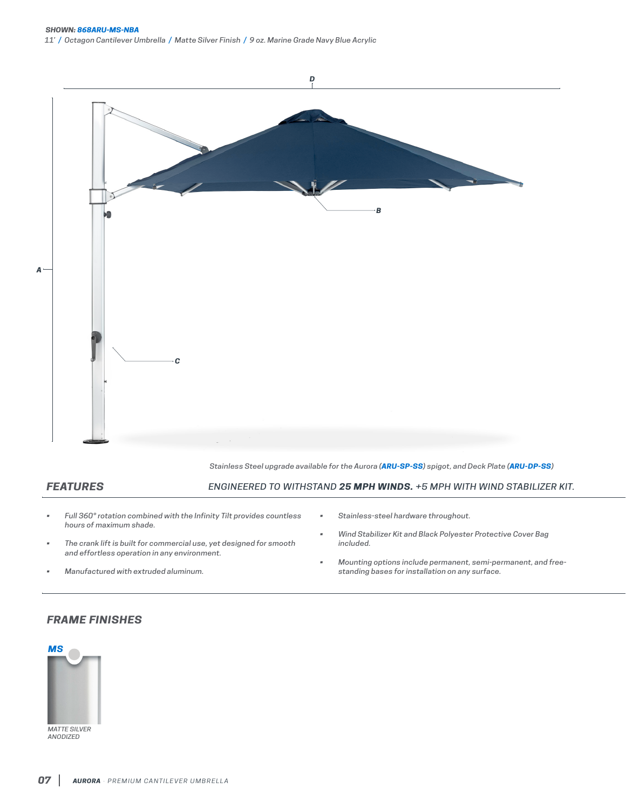

*Stainless Steel upgrade available for the Aurora (ARU-SP-SS) spigot, and Deck Plate (ARU-DP-SS)*

## *FEATURES*

*ENGINEERED TO WITHSTAND 25 MPH WINDS. +5 MPH WITH WIND STABILIZER KIT.*

- *• Full 360° rotation combined with the Infinity Tilt provides countless hours of maximum shade.*
- *• The crank lift is built for commercial use, yet designed for smooth and effortless operation in any environment.*
- *• Manufactured with extruded aluminum.*
- *• Stainless-steel hardware throughout.*
- *• Wind Stabilizer Kit and Black Polyester Protective Cover Bag included.*
- *• Mounting options include permanent, semi-permanent, and freestanding bases for installation on any surface.*

## *FRAME FINISHES*